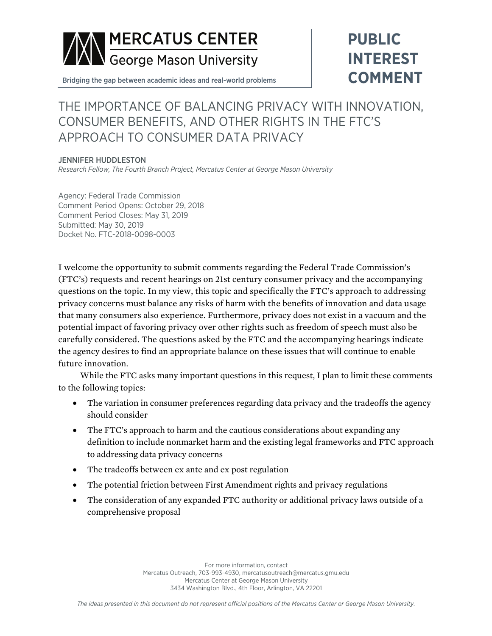

# **PUBLIC INTEREST COMMENT**

Bridging the gap between academic ideas and real-world problems

# THE IMPORTANCE OF BALANCING PRIVACY WITH INNOVATION, CONSUMER BENEFITS, AND OTHER RIGHTS IN THE FTC'S APPROACH TO CONSUMER DATA PRIVACY

#### JENNIFER HUDDLESTON

*Research Fellow, The Fourth Branch Project, Mercatus Center at George Mason University*

Agency: Federal Trade Commission Comment Period Opens: October 29, 2018 Comment Period Closes: May 31, 2019 Submitted: May 30, 2019 Docket No. FTC-2018-0098-0003

I welcome the opportunity to submit comments regarding the Federal Trade Commission's (FTC's) requests and recent hearings on 21st century consumer privacy and the accompanying questions on the topic. In my view, this topic and specifically the FTC's approach to addressing privacy concerns must balance any risks of harm with the benefits of innovation and data usage that many consumers also experience. Furthermore, privacy does not exist in a vacuum and the potential impact of favoring privacy over other rights such as freedom of speech must also be carefully considered. The questions asked by the FTC and the accompanying hearings indicate the agency desires to find an appropriate balance on these issues that will continue to enable future innovation.

While the FTC asks many important questions in this request, I plan to limit these comments to the following topics:

- The variation in consumer preferences regarding data privacy and the tradeoffs the agency should consider
- The FTC's approach to harm and the cautious considerations about expanding any definition to include nonmarket harm and the existing legal frameworks and FTC approach to addressing data privacy concerns
- The tradeoffs between ex ante and ex post regulation
- The potential friction between First Amendment rights and privacy regulations
- The consideration of any expanded FTC authority or additional privacy laws outside of a comprehensive proposal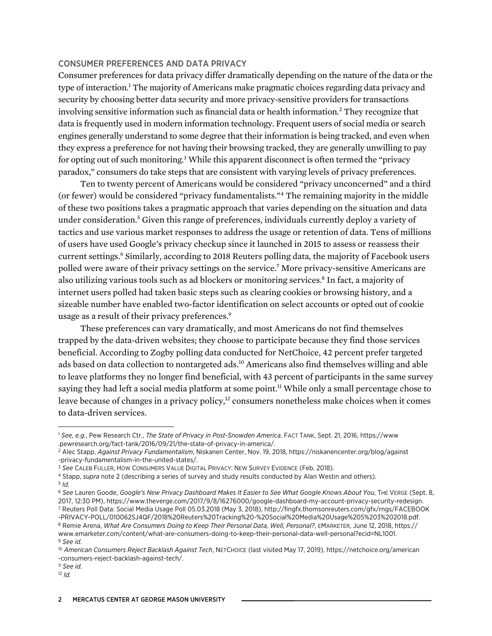#### CONSUMER PREFERENCES AND DATA PRIVACY

Consumer preferences for data privacy differ dramatically depending on the nature of the data or the type of interaction.<sup>1</sup> The majority of Americans make pragmatic choices regarding data privacy and security by choosing better data security and more privacy-sensitive providers for transactions involving sensitive information such as financial data or health information.<sup>2</sup> They recognize that data is frequently used in modern information technology. Frequent users of social media or search engines generally understand to some degree that their information is being tracked, and even when they express a preference for not having their browsing tracked, they are generally unwilling to pay for opting out of such monitoring.3 While this apparent disconnect is often termed the "privacy paradox," consumers do take steps that are consistent with varying levels of privacy preferences.

Ten to twenty percent of Americans would be considered "privacy unconcerned" and a third (or fewer) would be considered "privacy fundamentalists."4 The remaining majority in the middle of these two positions takes a pragmatic approach that varies depending on the situation and data under consideration.<sup>5</sup> Given this range of preferences, individuals currently deploy a variety of tactics and use various market responses to address the usage or retention of data. Tens of millions of users have used Google's privacy checkup since it launched in 2015 to assess or reassess their current settings.<sup>6</sup> Similarly, according to 2018 Reuters polling data, the majority of Facebook users polled were aware of their privacy settings on the service.<sup>7</sup> More privacy-sensitive Americans are also utilizing various tools such as ad blockers or monitoring services.8 In fact, a majority of internet users polled had taken basic steps such as clearing cookies or browsing history, and a sizeable number have enabled two-factor identification on select accounts or opted out of cookie usage as a result of their privacy preferences.<sup>9</sup>

These preferences can vary dramatically, and most Americans do not find themselves trapped by the data-driven websites; they choose to participate because they find those services beneficial. According to Zogby polling data conducted for NetChoice, 42 percent prefer targeted ads based on data collection to nontargeted ads.10 Americans also find themselves willing and able to leave platforms they no longer find beneficial, with 43 percent of participants in the same survey saying they had left a social media platform at some point.<sup>11</sup> While only a small percentage chose to leave because of changes in a privacy policy,<sup>12</sup> consumers nonetheless make choices when it comes to data-driven services.

<sup>5</sup> *Id.*

 $\overline{a}$ 

[-PRIVACY-POLL/010062SJ4QF/2018%20Reuters%20Tracking%20-%20Social%20Media%20Usage%205%203%202018.pdf.](http://fingfx.thomsonreuters.com/gfx/rngs/FACEBOOK-PRIVACY-POLL/010062SJ4QF/2018%20Reuters%20Tracking%20-%20Social%20Media%20Usage%205%203%202018.pdf) <sup>8</sup> Remie Arena, *What Are Consumers Doing to Keep Their Personal Data, Well, Personal?*, EMARKETER, June 12, 2018, [https://](https://www.emarketer.com/content/what-are-consumers-doing-to-keep-their-personal-data-well-personal?ecid=NL1001)

<sup>1</sup> *See, e.g.*, Pew Research Ctr., *The State of Privacy in Post-Snowden America*, FACT TANK, Sept. 21, 2016, [https://www](https://www.pewresearch.org/fact-tank/2016/09/21/the-state-of-privacy-in-america/) [.pewresearch.org/fact-tank/2016/09/21/the-state-of-privacy-in-america/.](https://www.pewresearch.org/fact-tank/2016/09/21/the-state-of-privacy-in-america/)

<sup>2</sup> Alec Stapp, *Against Privacy Fundamentalism*, Niskanen Center, Nov. 19, 2018, [https://niskanencenter.org/blog/against](https://niskanencenter.org/blog/against-privacy-fundamentalism-in-the-united-states/) [-privacy-fundamentalism-in-the-united-states/.](https://niskanencenter.org/blog/against-privacy-fundamentalism-in-the-united-states/)

<sup>3</sup> *See* CALEB FULLER, HOW CONSUMERS VALUE DIGITAL PRIVACY: NEW SURVEY EVIDENCE (Feb. 2018).

<sup>4</sup> Stapp, *supra* note 2 (describing a series of survey and study results conducted by Alan Westin and others).

<sup>6</sup> *See* Lauren Goode, *Google's New Privacy Dashboard Makes It Easier to See What Google Knows About You*, THE VERGE (Sept. 8, 2017, 12:30 PM), [https://www.theverge.com/2017/9/8/16276000/google-dashboard-my-account-privacy-security-redesign.](https://www.theverge.com/2017/9/8/16276000/google-dashboard-my-account-privacy-security-redesign) <sup>7</sup> Reuters Poll Data: Social Media Usage Poll 05.03.2018 (May 3, 2018), [http://fingfx.thomsonreuters.com/gfx/rngs/FACEBOOK](http://fingfx.thomsonreuters.com/gfx/rngs/FACEBOOK-PRIVACY-POLL/010062SJ4QF/2018%20Reuters%20Tracking%20-%20Social%20Media%20Usage%205%203%202018.pdf)

[www.emarketer.com/content/what-are-consumers-doing-to-keep-their-personal-data-well-personal?ecid=NL1001](https://www.emarketer.com/content/what-are-consumers-doing-to-keep-their-personal-data-well-personal?ecid=NL1001). <sup>9</sup> *See id.*

<sup>10</sup> *American Consumers Reject Backlash Against Tech*, NETCHOICE (last visited May 17, 2019), [https://netchoice.org/american](https://netchoice.org/american-consumers-reject-backlash-against-tech/) [-consumers-reject-backlash-against-tech/.](https://netchoice.org/american-consumers-reject-backlash-against-tech/)

<sup>11</sup> *See id.*

<sup>12</sup> *Id.*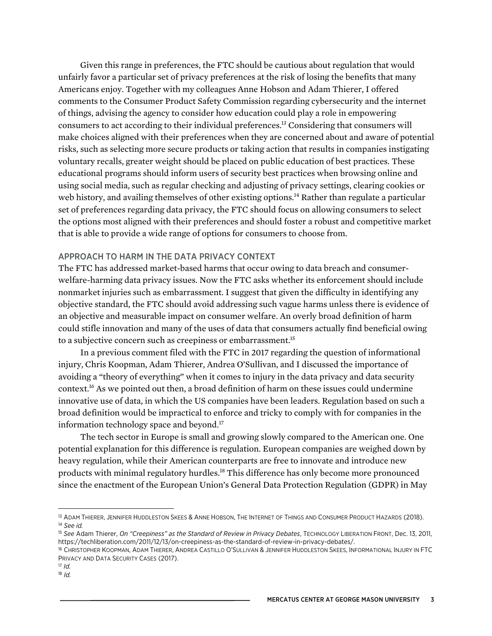Given this range in preferences, the FTC should be cautious about regulation that would unfairly favor a particular set of privacy preferences at the risk of losing the benefits that many Americans enjoy. Together with my colleagues Anne Hobson and Adam Thierer, I offered comments to the Consumer Product Safety Commission regarding cybersecurity and the internet of things, advising the agency to consider how education could play a role in empowering consumers to act according to their individual preferences.13 Considering that consumers will make choices aligned with their preferences when they are concerned about and aware of potential risks, such as selecting more secure products or taking action that results in companies instigating voluntary recalls, greater weight should be placed on public education of best practices. These educational programs should inform users of security best practices when browsing online and using social media, such as regular checking and adjusting of privacy settings, clearing cookies or web history, and availing themselves of other existing options.<sup>14</sup> Rather than regulate a particular set of preferences regarding data privacy, the FTC should focus on allowing consumers to select the options most aligned with their preferences and should foster a robust and competitive market that is able to provide a wide range of options for consumers to choose from.

#### APPROACH TO HARM IN THE DATA PRIVACY CONTEXT

The FTC has addressed market-based harms that occur owing to data breach and consumerwelfare-harming data privacy issues. Now the FTC asks whether its enforcement should include nonmarket injuries such as embarrassment. I suggest that given the difficulty in identifying any objective standard, the FTC should avoid addressing such vague harms unless there is evidence of an objective and measurable impact on consumer welfare. An overly broad definition of harm could stifle innovation and many of the uses of data that consumers actually find beneficial owing to a subjective concern such as creepiness or embarrassment.<sup>15</sup>

In a previous comment filed with the FTC in 2017 regarding the question of informational injury, Chris Koopman, Adam Thierer, Andrea O'Sullivan, and I discussed the importance of avoiding a "theory of everything" when it comes to injury in the data privacy and data security context.16 As we pointed out then, a broad definition of harm on these issues could undermine innovative use of data, in which the US companies have been leaders. Regulation based on such a broad definition would be impractical to enforce and tricky to comply with for companies in the information technology space and beyond.<sup>17</sup>

The tech sector in Europe is small and growing slowly compared to the American one. One potential explanation for this difference is regulation. European companies are weighed down by heavy regulation, while their American counterparts are free to innovate and introduce new products with minimal regulatory hurdles.<sup>18</sup> This difference has only become more pronounced since the enactment of the European Union's General Data Protection Regulation (GDPR) in May

<sup>17</sup> *Id.*

 $\overline{a}$ 

<sup>18</sup> *Id.*

<sup>&</sup>lt;sup>13</sup> ADAM THIERER, JENNIFER HUDDLESTON SKEES & ANNE HOBSON, THE INTERNET OF THINGS AND CONSUMER PRODUCT HAZARDS (2018). <sup>14</sup> *See id.*

<sup>15</sup> *See* Adam Thierer, *On "Creepiness" as the Standard of Review in Privacy Debates*, TECHNOLOGY LIBERATION FRONT, Dec. 13, 2011, [https://techliberation.com/2011/12/13/on-creepiness-as-the-standard-of-review-in-privacy-debates/.](https://techliberation.com/2011/12/13/on-creepiness-as-the-standard-of-review-in-privacy-debates/)

<sup>&</sup>lt;sup>16</sup> CHRISTOPHER KOOPMAN, ADAM THIERER, ANDREA CASTILLO O'SULLIVAN & JENNIFER HUDDLESTON SKEES, INFORMATIONAL INJURY IN FTC PRIVACY AND DATA SECURITY CASES (2017).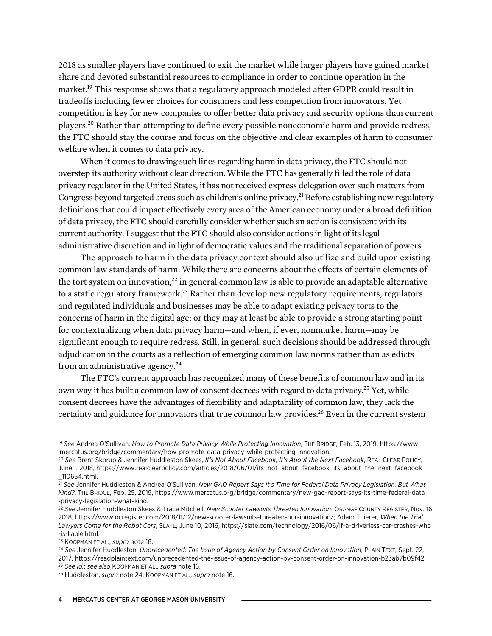2018 as smaller players have continued to exit the market while larger players have gained market share and devoted substantial resources to compliance in order to continue operation in the market.19 This response shows that a regulatory approach modeled after GDPR could result in tradeoffs including fewer choices for consumers and less competition from innovators. Yet competition is key for new companies to offer better data privacy and security options than current players.20 Rather than attempting to define every possible noneconomic harm and provide redress, the FTC should stay the course and focus on the objective and clear examples of harm to consumer welfare when it comes to data privacy.

When it comes to drawing such lines regarding harm in data privacy, the FTC should not overstep its authority without clear direction. While the FTC has generally filled the role of data privacy regulator in the United States, it has not received express delegation over such matters from Congress beyond targeted areas such as children's online privacy.<sup>21</sup> Before establishing new regulatory definitions that could impact effectively every area of the American economy under a broad definition of data privacy, the FTC should carefully consider whether such an action is consistent with its current authority. I suggest that the FTC should also consider actions in light of its legal administrative discretion and in light of democratic values and the traditional separation of powers.

The approach to harm in the data privacy context should also utilize and build upon existing common law standards of harm. While there are concerns about the effects of certain elements of the tort system on innovation, $^{22}$  in general common law is able to provide an adaptable alternative to a static regulatory framework.<sup>23</sup> Rather than develop new regulatory requirements, regulators and regulated individuals and businesses may be able to adapt existing privacy torts to the concerns of harm in the digital age; or they may at least be able to provide a strong starting point for contextualizing when data privacy harm—and when, if ever, nonmarket harm—may be significant enough to require redress. Still, in general, such decisions should be addressed through adjudication in the courts as a reflection of emerging common law norms rather than as edicts from an administrative agency. $24$ 

The FTC's current approach has recognized many of these benefits of common law and in its own way it has built a common law of consent decrees with regard to data privacy.<sup>25</sup> Yet, while consent decrees have the advantages of flexibility and adaptability of common law, they lack the certainty and guidance for innovators that true common law provides.<sup>26</sup> Even in the current system

l

<sup>19</sup> *See* Andrea O'Sullivan, *How to Promote Data Privacy While Protecting Innovation*, THE BRIDGE, Feb. 13, 2019, [https://www](https://www.mercatus.org/bridge/commentary/how-promote-data-privacy-while-protecting-innovation) [.mercatus.org/bridge/commentary/how-promote-data-privacy-while-protecting-innovation.](https://www.mercatus.org/bridge/commentary/how-promote-data-privacy-while-protecting-innovation)

<sup>20</sup> *See* Brent Skorup & Jennifer Huddleston Skees, *It's Not About Facebook, It's About the Next Facebook*, REAL CLEAR POLICY, June 1, 2018, [https://www.realclearpolicy.com/articles/2018/06/01/its\\_not\\_about\\_facebook\\_its\\_about\\_the\\_next\\_facebook](https://www.realclearpolicy.com/articles/2018/06/01/its_not_about_facebook_its_about_the_next_facebook_110654.html) [\\_110654.html.](https://www.realclearpolicy.com/articles/2018/06/01/its_not_about_facebook_its_about_the_next_facebook_110654.html)

<sup>21</sup> *See* Jennifer Huddleston & Andrea O'Sullivan, *New GAO Report Says It's Time for Federal Data Privacy Legislation. But What Kind?*, THE BRIDGE, Feb. 25, 2019, [https://www.mercatus.org/bridge/commentary/new-gao-report-says-its-time-federal-data](https://www.mercatus.org/bridge/commentary/new-gao-report-says-its-time-federal-data-privacy-legislation-what-kind) [-privacy-legislation-what-kind.](https://www.mercatus.org/bridge/commentary/new-gao-report-says-its-time-federal-data-privacy-legislation-what-kind)

<sup>22</sup> *See* Jennifer Huddleston Skees & Trace Mitchell, *New Scooter Lawsuits Threaten Innovation*, ORANGE COUNTY REGISTER, Nov. 16, 2018, [https://www.ocregister.com/2018/11/12/new-scooter-lawsuits-threaten-our-innovation/;](https://www.ocregister.com/2018/11/12/new-scooter-lawsuits-threaten-our-innovation/) Adam Thierer, *When the Trial Lawyers Come for the Robot Cars*, SLATE, June 10, 2016, [https://slate.com/technology/2016/06/if-a-driverless-car-crashes-who](https://slate.com/technology/2016/06/if-a-driverless-car-crashes-who-is-liable.html) [-is-liable.html](https://slate.com/technology/2016/06/if-a-driverless-car-crashes-who-is-liable.html).

<sup>23</sup> KOOPMAN ET AL., *supra* note 16.

<sup>24</sup> *See* Jennifer Huddleston, *Unprecedented: The Issue of Agency Action by Consent Order on Innovation*, PLAIN TEXT, Sept. 22, 2017, [https://readplaintext.com/unprecedented-the-issue-of-agency-action-by-consent-order-on-innovation-b23ab7b09f42.](https://readplaintext.com/unprecedented-the-issue-of-agency-action-by-consent-order-on-innovation-b23ab7b09f42) <sup>25</sup> *See id.*; *see also* KOOPMAN ET AL., *supra* note 16.

<sup>26</sup> Huddleston, *supra* note 24; KOOPMAN ET AL., *supra* note 16.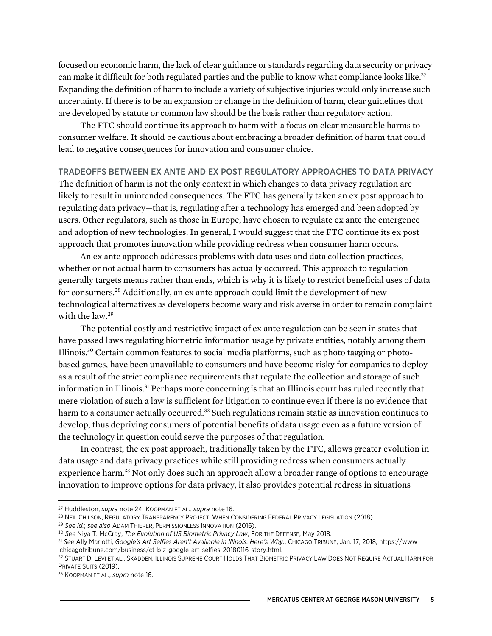focused on economic harm, the lack of clear guidance or standards regarding data security or privacy can make it difficult for both regulated parties and the public to know what compliance looks like.<sup>27</sup> Expanding the definition of harm to include a variety of subjective injuries would only increase such uncertainty. If there is to be an expansion or change in the definition of harm, clear guidelines that are developed by statute or common law should be the basis rather than regulatory action.

The FTC should continue its approach to harm with a focus on clear measurable harms to consumer welfare. It should be cautious about embracing a broader definition of harm that could lead to negative consequences for innovation and consumer choice.

## TRADEOFFS BETWEEN EX ANTE AND EX POST REGULATORY APPROACHES TO DATA PRIVACY

The definition of harm is not the only context in which changes to data privacy regulation are likely to result in unintended consequences. The FTC has generally taken an ex post approach to regulating data privacy—that is, regulating after a technology has emerged and been adopted by users. Other regulators, such as those in Europe, have chosen to regulate ex ante the emergence and adoption of new technologies. In general, I would suggest that the FTC continue its ex post approach that promotes innovation while providing redress when consumer harm occurs.

An ex ante approach addresses problems with data uses and data collection practices, whether or not actual harm to consumers has actually occurred. This approach to regulation generally targets means rather than ends, which is why it is likely to restrict beneficial uses of data for consumers.28 Additionally, an ex ante approach could limit the development of new technological alternatives as developers become wary and risk averse in order to remain complaint with the law.<sup>29</sup>

The potential costly and restrictive impact of ex ante regulation can be seen in states that have passed laws regulating biometric information usage by private entities, notably among them Illinois.30 Certain common features to social media platforms, such as photo tagging or photobased games, have been unavailable to consumers and have become risky for companies to deploy as a result of the strict compliance requirements that regulate the collection and storage of such information in Illinois.31 Perhaps more concerning is that an Illinois court has ruled recently that mere violation of such a law is sufficient for litigation to continue even if there is no evidence that harm to a consumer actually occurred.<sup>32</sup> Such regulations remain static as innovation continues to develop, thus depriving consumers of potential benefits of data usage even as a future version of the technology in question could serve the purposes of that regulation.

In contrast, the ex post approach, traditionally taken by the FTC, allows greater evolution in data usage and data privacy practices while still providing redress when consumers actually experience harm.<sup>33</sup> Not only does such an approach allow a broader range of options to encourage innovation to improve options for data privacy, it also provides potential redress in situations

 $\overline{a}$ 

<sup>27</sup> Huddleston, *supra* note 24; KOOPMAN ET AL., *supra* note 16.

<sup>28</sup> NEIL CHILSON, REGULATORY TRANSPARENCY PROJECT, WHEN CONSIDERING FEDERAL PRIVACY LEGISLATION (2018).

<sup>29</sup> *See id.*; *see also* ADAM THIERER, PERMISSIONLESS INNOVATION (2016).

<sup>30</sup> *See* Niya T. McCray, *The Evolution of US Biometric Privacy Law*, FOR THE DEFENSE, May 2018.

<sup>31</sup> *See* Ally Mariotti, *Google's Art Selfies Aren't Available in Illinois. Here's Why.*, CHICAGO TRIBUNE, Jan. 17, 2018, [https://www](https://www.chicagotribune.com/business/ct-biz-google-art-selfies-20180116-story.html) [.chicagotribune.com/business/ct-biz-google-art-selfies-20180116-story.html.](https://www.chicagotribune.com/business/ct-biz-google-art-selfies-20180116-story.html)

<sup>32</sup> STUART D. LEVI ET AL., SKADDEN, ILLINOIS SUPREME COURT HOLDS THAT BIOMETRIC PRIVACY LAW DOES NOT REQUIRE ACTUAL HARM FOR PRIVATE SUITS (2019).

<sup>33</sup> KOOPMAN ET AL., *supra* note 16.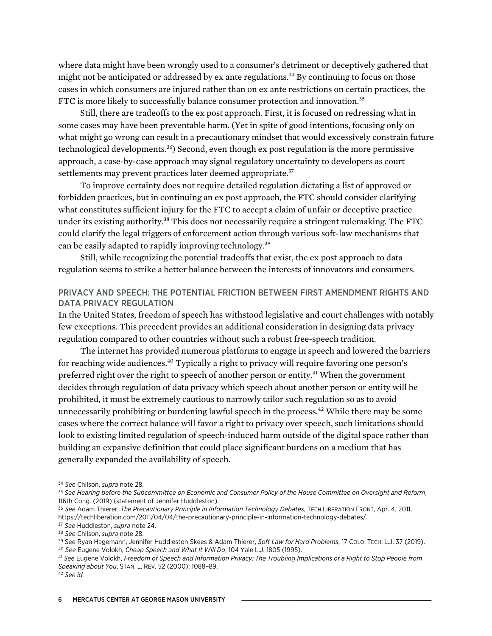where data might have been wrongly used to a consumer's detriment or deceptively gathered that might not be anticipated or addressed by ex ante regulations.<sup>34</sup> By continuing to focus on those cases in which consumers are injured rather than on ex ante restrictions on certain practices, the FTC is more likely to successfully balance consumer protection and innovation.<sup>35</sup>

Still, there are tradeoffs to the ex post approach. First, it is focused on redressing what in some cases may have been preventable harm. (Yet in spite of good intentions, focusing only on what might go wrong can result in a precautionary mindset that would excessively constrain future technological developments.<sup>36</sup>) Second, even though ex post regulation is the more permissive approach, a case-by-case approach may signal regulatory uncertainty to developers as court settlements may prevent practices later deemed appropriate.<sup>37</sup>

To improve certainty does not require detailed regulation dictating a list of approved or forbidden practices, but in continuing an ex post approach, the FTC should consider clarifying what constitutes sufficient injury for the FTC to accept a claim of unfair or deceptive practice under its existing authority.<sup>38</sup> This does not necessarily require a stringent rulemaking. The FTC could clarify the legal triggers of enforcement action through various soft-law mechanisms that can be easily adapted to rapidly improving technology.39

Still, while recognizing the potential tradeoffs that exist, the ex post approach to data regulation seems to strike a better balance between the interests of innovators and consumers.

## PRIVACY AND SPEECH: THE POTENTIAL FRICTION BETWEEN FIRST AMENDMENT RIGHTS AND DATA PRIVACY REGULATION

In the United States, freedom of speech has withstood legislative and court challenges with notably few exceptions. This precedent provides an additional consideration in designing data privacy regulation compared to other countries without such a robust free-speech tradition.

The internet has provided numerous platforms to engage in speech and lowered the barriers for reaching wide audiences.<sup>40</sup> Typically a right to privacy will require favoring one person's preferred right over the right to speech of another person or entity.<sup>41</sup> When the government decides through regulation of data privacy which speech about another person or entity will be prohibited, it must be extremely cautious to narrowly tailor such regulation so as to avoid unnecessarily prohibiting or burdening lawful speech in the process.<sup>42</sup> While there may be some cases where the correct balance will favor a right to privacy over speech, such limitations should look to existing limited regulation of speech-induced harm outside of the digital space rather than building an expansive definition that could place significant burdens on a medium that has generally expanded the availability of speech.

 $\overline{a}$ 

<sup>34</sup> *See* Chilson, *supra* note 28.

<sup>35</sup> *See Hearing before the Subcommittee on Economic and Consumer Policy of the House Committee on Oversight and Reform*, 116th Cong. (2019) (statement of Jennifer Huddleston).

<sup>36</sup> *See* Adam Thierer, *The Precautionary Principle in Information Technology Debates*, TECH LIBERATION FRONT, Apr. 4, 2011, [https://techliberation.com/2011/04/04/the-precautionary-principle-in-information-technology-debates/.](https://techliberation.com/2011/04/04/the-precautionary-principle-in-information-technology-debates/)

<sup>37</sup> *See* Huddleston, *supra* note 24.

<sup>38</sup> *See* Chilson, *supra* note 28.

<sup>39</sup> See Ryan Hagemann, Jennifer Huddleston Skees & Adam Thierer, *Soft Law for Hard Problems*, 17 COLO. TECH. L.J. 37 (2019). <sup>40</sup> *See* Eugene Volokh, *Cheap Speech and What It Will Do*, 104 Yale L.J. 1805 (1995).

<sup>41</sup> *See* Eugene Volokh, *Freedom of Speech and Information Privacy: The Troubling Implications of a Right to Stop People from Speaking about You*, STAN. L. REV. 52 (2000): 1088–89.

<sup>42</sup> *See id.*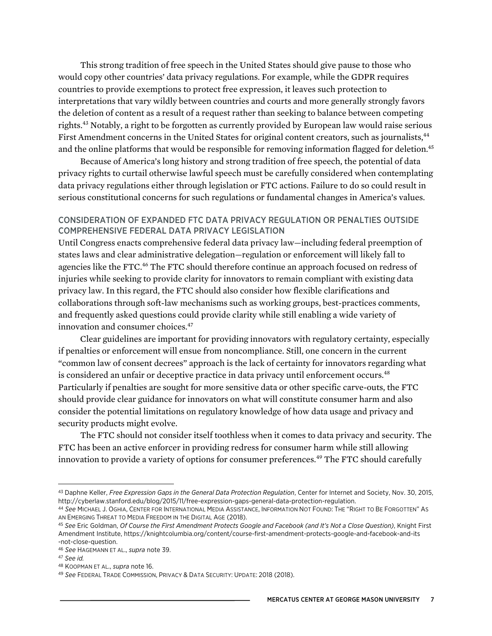This strong tradition of free speech in the United States should give pause to those who would copy other countries' data privacy regulations. For example, while the GDPR requires countries to provide exemptions to protect free expression, it leaves such protection to interpretations that vary wildly between countries and courts and more generally strongly favors the deletion of content as a result of a request rather than seeking to balance between competing rights.<sup>43</sup> Notably, a right to be forgotten as currently provided by European law would raise serious First Amendment concerns in the United States for original content creators, such as journalists,<sup>44</sup> and the online platforms that would be responsible for removing information flagged for deletion.<sup>45</sup>

Because of America's long history and strong tradition of free speech, the potential of data privacy rights to curtail otherwise lawful speech must be carefully considered when contemplating data privacy regulations either through legislation or FTC actions. Failure to do so could result in serious constitutional concerns for such regulations or fundamental changes in America's values.

#### CONSIDERATION OF EXPANDED FTC DATA PRIVACY REGULATION OR PENALTIES OUTSIDE COMPREHENSIVE FEDERAL DATA PRIVACY LEGISLATION

Until Congress enacts comprehensive federal data privacy law—including federal preemption of states laws and clear administrative delegation—regulation or enforcement will likely fall to agencies like the FTC.<sup>46</sup> The FTC should therefore continue an approach focused on redress of injuries while seeking to provide clarity for innovators to remain compliant with existing data privacy law. In this regard, the FTC should also consider how flexible clarifications and collaborations through soft-law mechanisms such as working groups, best-practices comments, and frequently asked questions could provide clarity while still enabling a wide variety of innovation and consumer choices.<sup>47</sup>

Clear guidelines are important for providing innovators with regulatory certainty, especially if penalties or enforcement will ensue from noncompliance. Still, one concern in the current "common law of consent decrees" approach is the lack of certainty for innovators regarding what is considered an unfair or deceptive practice in data privacy until enforcement occurs.<sup>48</sup> Particularly if penalties are sought for more sensitive data or other specific carve-outs, the FTC should provide clear guidance for innovators on what will constitute consumer harm and also consider the potential limitations on regulatory knowledge of how data usage and privacy and security products might evolve.

The FTC should not consider itself toothless when it comes to data privacy and security. The FTC has been an active enforcer in providing redress for consumer harm while still allowing innovation to provide a variety of options for consumer preferences.<sup>49</sup> The FTC should carefully

l

<sup>43</sup> Daphne Keller, *Free Expression Gaps in the General Data Protection Regulation*, Center for Internet and Society, Nov. 30, 2015, [http://cyberlaw.stanford.edu/blog/2015/11/free-expression-gaps-general-data-protection-regulation.](http://cyberlaw.stanford.edu/blog/2015/11/free-expression-gaps-general-data-protection-regulation)

<sup>44</sup> *See* MICHAEL J. OGHIA, CENTER FOR INTERNATIONAL MEDIA ASSISTANCE, INFORMATION NOT FOUND: THE "RIGHT TO BE FORGOTTEN" AS AN EMERGING THREAT TO MEDIA FREEDOM IN THE DIGITAL AGE (2018).

<sup>45</sup> *See* Eric Goldman, *Of Course the First Amendment Protects Google and Facebook (and It's Not a Close Question)*, Knight First Amendment Institute, [https://knightcolumbia.org/content/course-first-amendment-protects-google-and-facebook-and-its](https://knightcolumbia.org/content/course-first-amendment-protects-google-and-facebook-and-its-not-close-question) [-not-close-question](https://knightcolumbia.org/content/course-first-amendment-protects-google-and-facebook-and-its-not-close-question).

<sup>46</sup> *See* HAGEMANN ET AL., *supra* note 39.

<sup>47</sup> *See id.*

<sup>48</sup> KOOPMAN ET AL., *supra* note 16.

<sup>49</sup> *See* FEDERAL TRADE COMMISSION, PRIVACY & DATA SECURITY: UPDATE: 2018 (2018).